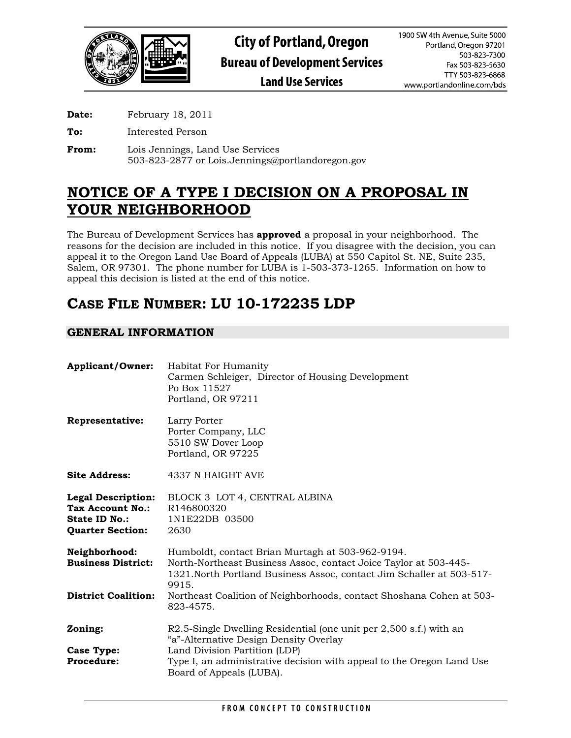

**Date:** February 18, 2011

**To:** Interested Person

**From:** Lois Jennings, Land Use Services 503-823-2877 or Lois.Jennings@portlandoregon.gov

# **NOTICE OF A TYPE I DECISION ON A PROPOSAL IN YOUR NEIGHBORHOOD**

The Bureau of Development Services has **approved** a proposal in your neighborhood. The reasons for the decision are included in this notice. If you disagree with the decision, you can appeal it to the Oregon Land Use Board of Appeals (LUBA) at 550 Capitol St. NE, Suite 235, Salem, OR 97301. The phone number for LUBA is 1-503-373-1265. Information on how to appeal this decision is listed at the end of this notice.

# **CASE FILE NUMBER: LU 10-172235 LDP**

## **GENERAL INFORMATION**

| <b>Habitat For Humanity</b><br>Carmen Schleiger, Director of Housing Development<br>Po Box 11527<br>Portland, OR 97211                                                                                                                             |
|----------------------------------------------------------------------------------------------------------------------------------------------------------------------------------------------------------------------------------------------------|
| Larry Porter<br>Porter Company, LLC<br>5510 SW Dover Loop<br>Portland, OR 97225                                                                                                                                                                    |
| 4337 N HAIGHT AVE                                                                                                                                                                                                                                  |
| BLOCK 3 LOT 4, CENTRAL ALBINA<br>R146800320<br>1N1E22DB 03500<br>2630                                                                                                                                                                              |
| Humboldt, contact Brian Murtagh at 503-962-9194.<br>North-Northeast Business Assoc, contact Joice Taylor at 503-445-<br>1321. North Portland Business Assoc, contact Jim Schaller at 503-517-<br>9915.                                             |
| Northeast Coalition of Neighborhoods, contact Shoshana Cohen at 503-<br>823-4575.                                                                                                                                                                  |
| R2.5-Single Dwelling Residential (one unit per 2,500 s.f.) with an<br>"a"-Alternative Design Density Overlay<br>Land Division Partition (LDP)<br>Type I, an administrative decision with appeal to the Oregon Land Use<br>Board of Appeals (LUBA). |
|                                                                                                                                                                                                                                                    |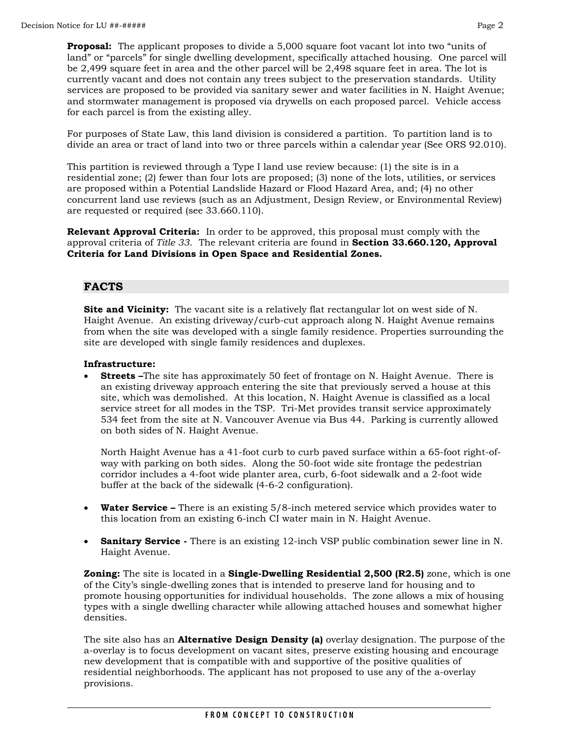**Proposal:** The applicant proposes to divide a 5,000 square foot vacant lot into two "units of land" or "parcels" for single dwelling development, specifically attached housing. One parcel will be 2,499 square feet in area and the other parcel will be 2,498 square feet in area. The lot is currently vacant and does not contain any trees subject to the preservation standards. Utility services are proposed to be provided via sanitary sewer and water facilities in N. Haight Avenue; and stormwater management is proposed via drywells on each proposed parcel. Vehicle access for each parcel is from the existing alley.

For purposes of State Law, this land division is considered a partition. To partition land is to divide an area or tract of land into two or three parcels within a calendar year (See ORS 92.010).

This partition is reviewed through a Type I land use review because: (1) the site is in a residential zone; (2) fewer than four lots are proposed; (3) none of the lots, utilities, or services are proposed within a Potential Landslide Hazard or Flood Hazard Area, and; (4) no other concurrent land use reviews (such as an Adjustment, Design Review, or Environmental Review) are requested or required (see 33.660.110).

**Relevant Approval Criteria:** In order to be approved, this proposal must comply with the approval criteria of *Title 33*.The relevant criteria are found in **Section 33.660.120, Approval Criteria for Land Divisions in Open Space and Residential Zones.**

## **FACTS**

**Site and Vicinity:** The vacant site is a relatively flat rectangular lot on west side of N. Haight Avenue. An existing driveway/curb-cut approach along N. Haight Avenue remains from when the site was developed with a single family residence. Properties surrounding the site are developed with single family residences and duplexes.

## **Infrastructure:**

**Streets** –The site has approximately 50 feet of frontage on N. Haight Avenue. There is an existing driveway approach entering the site that previously served a house at this site, which was demolished. At this location, N. Haight Avenue is classified as a local service street for all modes in the TSP. Tri-Met provides transit service approximately 534 feet from the site at N. Vancouver Avenue via Bus 44. Parking is currently allowed on both sides of N. Haight Avenue.

North Haight Avenue has a 41-foot curb to curb paved surface within a 65-foot right-ofway with parking on both sides. Along the 50-foot wide site frontage the pedestrian corridor includes a 4-foot wide planter area, curb, 6-foot sidewalk and a 2-foot wide buffer at the back of the sidewalk (4-6-2 configuration).

- **Water Service –** There is an existing 5/8-inch metered service which provides water to this location from an existing 6-inch CI water main in N. Haight Avenue.
- **Sanitary Service** There is an existing 12-inch VSP public combination sewer line in N. Haight Avenue.

**Zoning:** The site is located in a **Single-Dwelling Residential 2,500 (R2.5)** zone, which is one of the City's single-dwelling zones that is intended to preserve land for housing and to promote housing opportunities for individual households. The zone allows a mix of housing types with a single dwelling character while allowing attached houses and somewhat higher densities.

The site also has an **Alternative Design Density (a)** overlay designation. The purpose of the a-overlay is to focus development on vacant sites, preserve existing housing and encourage new development that is compatible with and supportive of the positive qualities of residential neighborhoods. The applicant has not proposed to use any of the a-overlay provisions.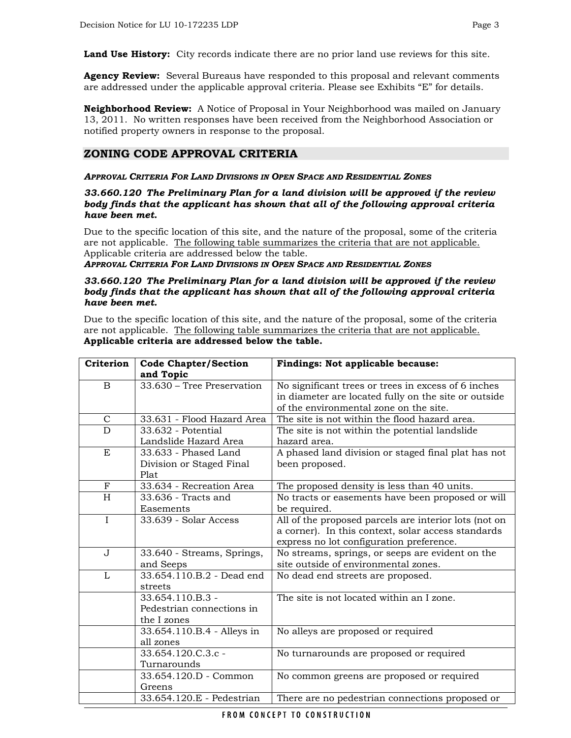**Land Use History:** City records indicate there are no prior land use reviews for this site.

**Agency Review:** Several Bureaus have responded to this proposal and relevant comments are addressed under the applicable approval criteria. Please see Exhibits "E" for details.

**Neighborhood Review:** A Notice of Proposal in Your Neighborhood was mailed on January 13, 2011. No written responses have been received from the Neighborhood Association or notified property owners in response to the proposal.

## **ZONING CODE APPROVAL CRITERIA**

#### *APPROVAL CRITERIA FOR LAND DIVISIONS IN OPEN SPACE AND RESIDENTIAL ZONES*

#### *33.660.120 The Preliminary Plan for a land division will be approved if the review body finds that the applicant has shown that all of the following approval criteria have been met.*

Due to the specific location of this site, and the nature of the proposal, some of the criteria are not applicable. The following table summarizes the criteria that are not applicable. Applicable criteria are addressed below the table.

*APPROVAL CRITERIA FOR LAND DIVISIONS IN OPEN SPACE AND RESIDENTIAL ZONES* 

#### *33.660.120 The Preliminary Plan for a land division will be approved if the review body finds that the applicant has shown that all of the following approval criteria have been met.*

Due to the specific location of this site, and the nature of the proposal, some of the criteria are not applicable. The following table summarizes the criteria that are not applicable. **Applicable criteria are addressed below the table.** 

| Criterion    | <b>Code Chapter/Section</b> | Findings: Not applicable because:                     |
|--------------|-----------------------------|-------------------------------------------------------|
|              | and Topic                   |                                                       |
| $\mathbf{B}$ | 33.630 - Tree Preservation  | No significant trees or trees in excess of 6 inches   |
|              |                             | in diameter are located fully on the site or outside  |
|              |                             | of the environmental zone on the site.                |
| $\mathbf C$  | 33.631 - Flood Hazard Area  | The site is not within the flood hazard area.         |
| D            | 33.632 - Potential          | The site is not within the potential landslide        |
|              | Landslide Hazard Area       | hazard area.                                          |
| E            | 33.633 - Phased Land        | A phased land division or staged final plat has not   |
|              | Division or Staged Final    | been proposed.                                        |
|              | Plat                        |                                                       |
| $_{\rm F}$   | 33.634 - Recreation Area    | The proposed density is less than 40 units.           |
| H            | 33.636 - Tracts and         | No tracts or easements have been proposed or will     |
|              | Easements                   | be required.                                          |
| $\mathbf I$  | 33.639 - Solar Access       | All of the proposed parcels are interior lots (not on |
|              |                             | a corner). In this context, solar access standards    |
|              |                             | express no lot configuration preference.              |
| $\mathbf{J}$ | 33.640 - Streams, Springs,  | No streams, springs, or seeps are evident on the      |
|              | and Seeps                   | site outside of environmental zones.                  |
| $\mathbf{L}$ | 33.654.110.B.2 - Dead end   | No dead end streets are proposed.                     |
|              | streets                     |                                                       |
|              | 33.654.110.B.3 -            | The site is not located within an I zone.             |
|              | Pedestrian connections in   |                                                       |
|              | the I zones                 |                                                       |
|              | 33.654.110.B.4 - Alleys in  | No alleys are proposed or required                    |
|              | all zones                   |                                                       |
|              | 33.654.120.C.3.c -          | No turnarounds are proposed or required               |
|              | Turnarounds                 |                                                       |
|              | 33.654.120.D - Common       | No common greens are proposed or required             |
|              | Greens                      |                                                       |
|              | 33.654.120.E - Pedestrian   | There are no pedestrian connections proposed or       |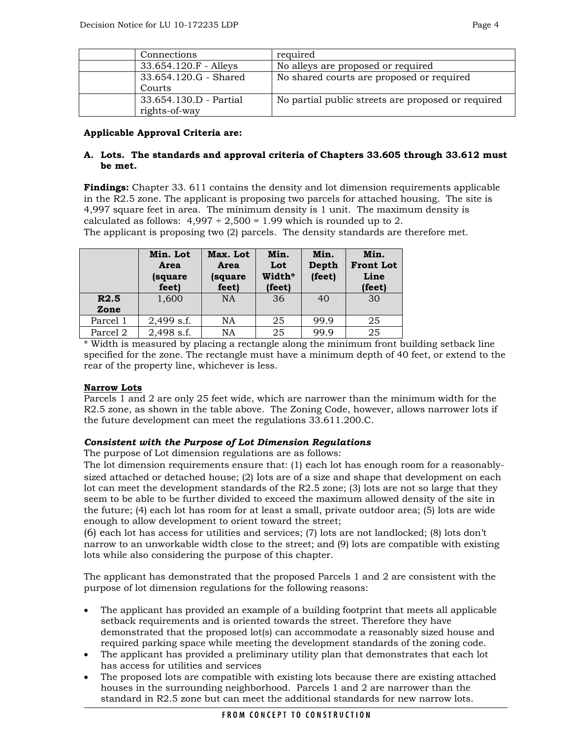| Connections                             | required                                           |
|-----------------------------------------|----------------------------------------------------|
| $33.654.120.F -$ Alleys                 | No alleys are proposed or required                 |
| 33.654.120.G - Shared<br>Courts         | No shared courts are proposed or required          |
| 33.654.130.D - Partial<br>rights-of-way | No partial public streets are proposed or required |

## **Applicable Approval Criteria are:**

## **A. Lots. The standards and approval criteria of Chapters 33.605 through 33.612 must be met.**

**Findings:** Chapter 33. 611 contains the density and lot dimension requirements applicable in the R2.5 zone. The applicant is proposing two parcels for attached housing. The site is 4,997 square feet in area. The minimum density is 1 unit. The maximum density is calculated as follows:  $4,997 \div 2,500 = 1.99$  which is rounded up to 2. The applicant is proposing two (2) parcels. The density standards are therefore met.

|          | Min. Lot<br>Area<br>(square<br>feet) | Max. Lot<br>Area<br>(square<br>feet) | Min.<br>Lot<br>Width*<br>(feet) | Min.<br>Depth<br>(feet) | Min.<br><b>Front Lot</b><br>Line<br>(feet) |
|----------|--------------------------------------|--------------------------------------|---------------------------------|-------------------------|--------------------------------------------|
| R2.5     | 1,600                                | <b>NA</b>                            | 36                              | 40                      | 30                                         |
| Zone     |                                      |                                      |                                 |                         |                                            |
| Parcel 1 | $2,499$ s.f.                         | NA                                   | 25                              | 99.9                    | 25                                         |
| Parcel 2 | 2,498 s.f.                           | NA                                   | 25                              | 99.9                    | 25                                         |

\* Width is measured by placing a rectangle along the minimum front building setback line specified for the zone. The rectangle must have a minimum depth of 40 feet, or extend to the rear of the property line, whichever is less.

## **Narrow Lots**

Parcels 1 and 2 are only 25 feet wide, which are narrower than the minimum width for the R2.5 zone, as shown in the table above. The Zoning Code, however, allows narrower lots if the future development can meet the regulations 33.611.200.C.

## *Consistent with the Purpose of Lot Dimension Regulations*

The purpose of Lot dimension regulations are as follows:

The lot dimension requirements ensure that: (1) each lot has enough room for a reasonablysized attached or detached house; (2) lots are of a size and shape that development on each lot can meet the development standards of the R2.5 zone; (3) lots are not so large that they seem to be able to be further divided to exceed the maximum allowed density of the site in the future; (4) each lot has room for at least a small, private outdoor area; (5) lots are wide enough to allow development to orient toward the street;

(6) each lot has access for utilities and services; (7) lots are not landlocked; (8) lots don't narrow to an unworkable width close to the street; and (9) lots are compatible with existing lots while also considering the purpose of this chapter.

The applicant has demonstrated that the proposed Parcels 1 and 2 are consistent with the purpose of lot dimension regulations for the following reasons:

- The applicant has provided an example of a building footprint that meets all applicable setback requirements and is oriented towards the street. Therefore they have demonstrated that the proposed lot(s) can accommodate a reasonably sized house and required parking space while meeting the development standards of the zoning code.
- The applicant has provided a preliminary utility plan that demonstrates that each lot has access for utilities and services
- The proposed lots are compatible with existing lots because there are existing attached houses in the surrounding neighborhood. Parcels 1 and 2 are narrower than the standard in R2.5 zone but can meet the additional standards for new narrow lots.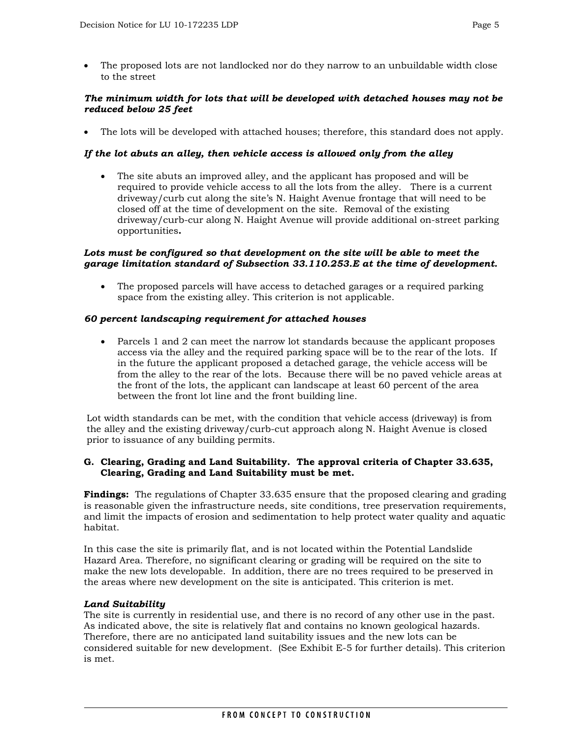• The proposed lots are not landlocked nor do they narrow to an unbuildable width close to the street

## *The minimum width for lots that will be developed with detached houses may not be reduced below 25 feet*

• The lots will be developed with attached houses; therefore, this standard does not apply.

## *If the lot abuts an alley, then vehicle access is allowed only from the alley*

• The site abuts an improved alley, and the applicant has proposed and will be required to provide vehicle access to all the lots from the alley. There is a current driveway/curb cut along the site's N. Haight Avenue frontage that will need to be closed off at the time of development on the site. Removal of the existing driveway/curb-cur along N. Haight Avenue will provide additional on-street parking opportunities**.** 

## Lots must be configured so that development on the site will be able to meet the *garage limitation standard of Subsection 33.110.253.E at the time of development.*

• The proposed parcels will have access to detached garages or a required parking space from the existing alley. This criterion is not applicable.

## *60 percent landscaping requirement for attached houses*

• Parcels 1 and 2 can meet the narrow lot standards because the applicant proposes access via the alley and the required parking space will be to the rear of the lots. If in the future the applicant proposed a detached garage, the vehicle access will be from the alley to the rear of the lots. Because there will be no paved vehicle areas at the front of the lots, the applicant can landscape at least 60 percent of the area between the front lot line and the front building line.

Lot width standards can be met, with the condition that vehicle access (driveway) is from the alley and the existing driveway/curb-cut approach along N. Haight Avenue is closed prior to issuance of any building permits.

## **G. Clearing, Grading and Land Suitability. The approval criteria of Chapter 33.635, Clearing, Grading and Land Suitability must be met.**

**Findings:** The regulations of Chapter 33.635 ensure that the proposed clearing and grading is reasonable given the infrastructure needs, site conditions, tree preservation requirements, and limit the impacts of erosion and sedimentation to help protect water quality and aquatic habitat.

In this case the site is primarily flat, and is not located within the Potential Landslide Hazard Area. Therefore, no significant clearing or grading will be required on the site to make the new lots developable. In addition, there are no trees required to be preserved in the areas where new development on the site is anticipated. This criterion is met.

## *Land Suitability*

The site is currently in residential use, and there is no record of any other use in the past. As indicated above, the site is relatively flat and contains no known geological hazards. Therefore, there are no anticipated land suitability issues and the new lots can be considered suitable for new development. (See Exhibit E-5 for further details). This criterion is met.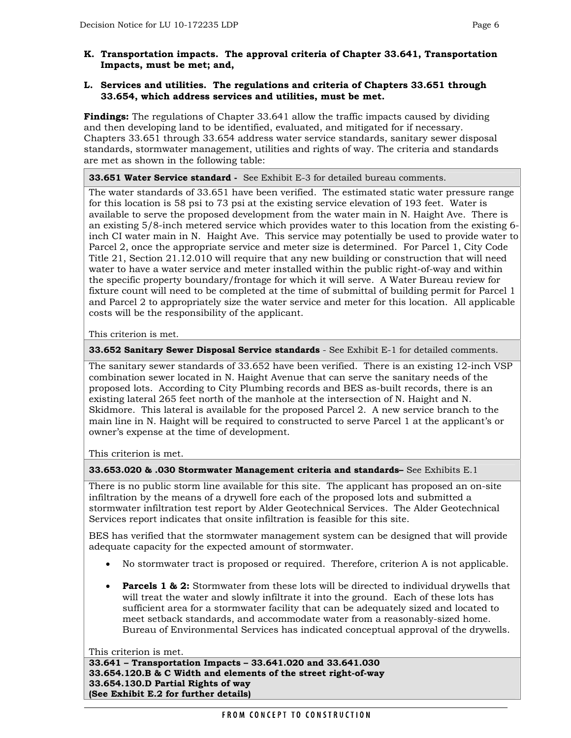## **K. Transportation impacts. The approval criteria of Chapter 33.641, Transportation Impacts, must be met; and,**

## **L. Services and utilities. The regulations and criteria of Chapters 33.651 through 33.654, which address services and utilities, must be met.**

**Findings:** The regulations of Chapter 33.641 allow the traffic impacts caused by dividing and then developing land to be identified, evaluated, and mitigated for if necessary. Chapters 33.651 through 33.654 address water service standards, sanitary sewer disposal standards, stormwater management, utilities and rights of way. The criteria and standards are met as shown in the following table:

## **33.651 Water Service standard -** See Exhibit E-3 for detailed bureau comments.

The water standards of 33.651 have been verified. The estimated static water pressure range for this location is 58 psi to 73 psi at the existing service elevation of 193 feet. Water is available to serve the proposed development from the water main in N. Haight Ave. There is an existing 5/8-inch metered service which provides water to this location from the existing 6 inch CI water main in N. Haight Ave. This service may potentially be used to provide water to Parcel 2, once the appropriate service and meter size is determined. For Parcel 1, City Code Title 21, Section 21.12.010 will require that any new building or construction that will need water to have a water service and meter installed within the public right-of-way and within the specific property boundary/frontage for which it will serve. A Water Bureau review for fixture count will need to be completed at the time of submittal of building permit for Parcel 1 and Parcel 2 to appropriately size the water service and meter for this location. All applicable costs will be the responsibility of the applicant.

This criterion is met.

**33.652 Sanitary Sewer Disposal Service standards** - See Exhibit E-1 for detailed comments.

The sanitary sewer standards of 33.652 have been verified. There is an existing 12-inch VSP combination sewer located in N. Haight Avenue that can serve the sanitary needs of the proposed lots. According to City Plumbing records and BES as-built records, there is an existing lateral 265 feet north of the manhole at the intersection of N. Haight and N. Skidmore. This lateral is available for the proposed Parcel 2. A new service branch to the main line in N. Haight will be required to constructed to serve Parcel 1 at the applicant's or owner's expense at the time of development.

This criterion is met.

**33.653.020 & .030 Stormwater Management criteria and standards–** See Exhibits E.1

There is no public storm line available for this site. The applicant has proposed an on-site infiltration by the means of a drywell fore each of the proposed lots and submitted a stormwater infiltration test report by Alder Geotechnical Services. The Alder Geotechnical Services report indicates that onsite infiltration is feasible for this site.

BES has verified that the stormwater management system can be designed that will provide adequate capacity for the expected amount of stormwater.

- No stormwater tract is proposed or required. Therefore, criterion A is not applicable.
- **Parcels 1 & 2:** Stormwater from these lots will be directed to individual drywells that will treat the water and slowly infiltrate it into the ground. Each of these lots has sufficient area for a stormwater facility that can be adequately sized and located to meet setback standards, and accommodate water from a reasonably-sized home. Bureau of Environmental Services has indicated conceptual approval of the drywells.

This criterion is met.

**33.641 – Transportation Impacts – 33.641.020 and 33.641.030 33.654.120.B & C Width and elements of the street right-of-way 33.654.130.D Partial Rights of way (See Exhibit E.2 for further details)**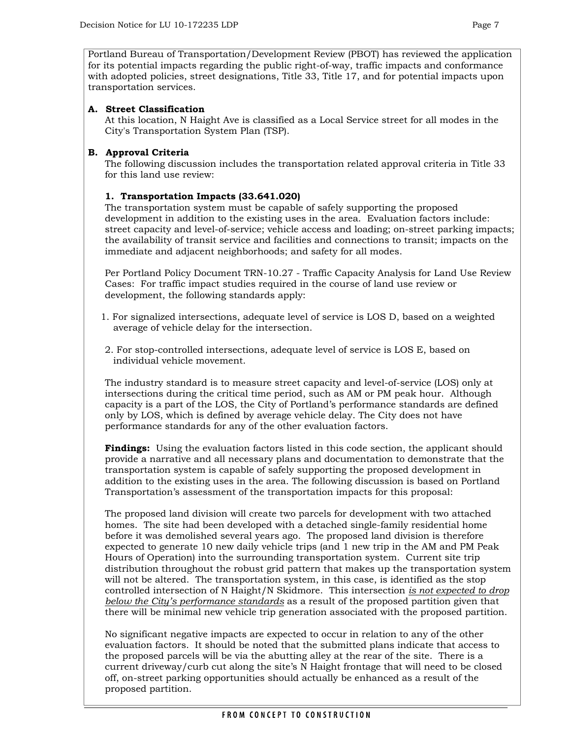Portland Bureau of Transportation/Development Review (PBOT) has reviewed the application for its potential impacts regarding the public right-of-way, traffic impacts and conformance with adopted policies, street designations, Title 33, Title 17, and for potential impacts upon transportation services.

## **A. Street Classification**

At this location, N Haight Ave is classified as a Local Service street for all modes in the City's Transportation System Plan (TSP).

## **B. Approval Criteria**

The following discussion includes the transportation related approval criteria in Title 33 for this land use review:

## **1. Transportation Impacts (33.641.020)**

The transportation system must be capable of safely supporting the proposed development in addition to the existing uses in the area. Evaluation factors include: street capacity and level-of-service; vehicle access and loading; on-street parking impacts; the availability of transit service and facilities and connections to transit; impacts on the immediate and adjacent neighborhoods; and safety for all modes.

Per Portland Policy Document TRN-10.27 - Traffic Capacity Analysis for Land Use Review Cases: For traffic impact studies required in the course of land use review or development, the following standards apply:

- 1. For signalized intersections, adequate level of service is LOS D, based on a weighted average of vehicle delay for the intersection.
- 2. For stop-controlled intersections, adequate level of service is LOS E, based on individual vehicle movement.

The industry standard is to measure street capacity and level-of-service (LOS) only at intersections during the critical time period, such as AM or PM peak hour. Although capacity is a part of the LOS, the City of Portland's performance standards are defined only by LOS, which is defined by average vehicle delay. The City does not have performance standards for any of the other evaluation factors.

**Findings:** Using the evaluation factors listed in this code section, the applicant should provide a narrative and all necessary plans and documentation to demonstrate that the transportation system is capable of safely supporting the proposed development in addition to the existing uses in the area. The following discussion is based on Portland Transportation's assessment of the transportation impacts for this proposal:

The proposed land division will create two parcels for development with two attached homes. The site had been developed with a detached single-family residential home before it was demolished several years ago. The proposed land division is therefore expected to generate 10 new daily vehicle trips (and 1 new trip in the AM and PM Peak Hours of Operation) into the surrounding transportation system. Current site trip distribution throughout the robust grid pattern that makes up the transportation system will not be altered. The transportation system, in this case, is identified as the stop controlled intersection of N Haight/N Skidmore. This intersection *is not expected to drop below the City's performance standards* as a result of the proposed partition given that there will be minimal new vehicle trip generation associated with the proposed partition.

No significant negative impacts are expected to occur in relation to any of the other evaluation factors. It should be noted that the submitted plans indicate that access to the proposed parcels will be via the abutting alley at the rear of the site. There is a current driveway/curb cut along the site's N Haight frontage that will need to be closed off, on-street parking opportunities should actually be enhanced as a result of the proposed partition.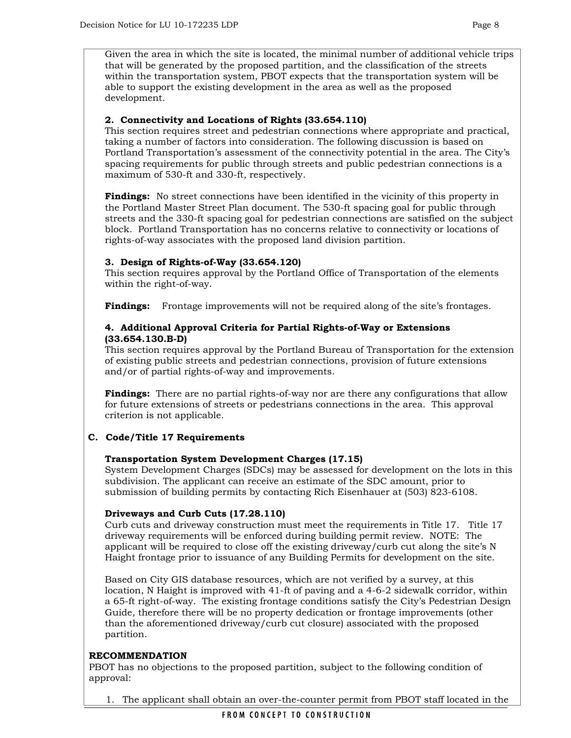Given the area in which the site is located, the minimal number of additional vehicle trips that will be generated by the proposed partition, and the classification of the streets within the transportation system, PBOT expects that the transportation system will be able to support the existing development in the area as well as the proposed development.

## **2. Connectivity and Locations of Rights (33.654.110)**

This section requires street and pedestrian connections where appropriate and practical, taking a number of factors into consideration. The following discussion is based on Portland Transportation's assessment of the connectivity potential in the area. The City's spacing requirements for public through streets and public pedestrian connections is a maximum of 530-ft and 330-ft, respectively.

**Findings:** No street connections have been identified in the vicinity of this property in the Portland Master Street Plan document. The 530-ft spacing goal for public through streets and the 330-ft spacing goal for pedestrian connections are satisfied on the subject block. Portland Transportation has no concerns relative to connectivity or locations of rights-of-way associates with the proposed land division partition.

#### **3. Design of Rights-of-Way (33.654.120)**

This section requires approval by the Portland Office of Transportation of the elements within the right-of-way.

**Findings:** Frontage improvements will not be required along of the site's frontages.

## **4. Additional Approval Criteria for Partial Rights-of-Way or Extensions (33.654.130.B-D)**

This section requires approval by the Portland Bureau of Transportation for the extension of existing public streets and pedestrian connections, provision of future extensions and/or of partial rights-of-way and improvements.

**Findings:** There are no partial rights-of-way nor are there any configurations that allow for future extensions of streets or pedestrians connections in the area. This approval criterion is not applicable.

## **C. Code/Title 17 Requirements**

## **Transportation System Development Charges (17.15)**

System Development Charges (SDCs) may be assessed for development on the lots in this subdivision. The applicant can receive an estimate of the SDC amount, prior to submission of building permits by contacting Rich Eisenhauer at (503) 823-6108.

#### **Driveways and Curb Cuts (17.28.110)**

Curb cuts and driveway construction must meet the requirements in Title 17. Title 17 driveway requirements will be enforced during building permit review. NOTE: The applicant will be required to close off the existing driveway/curb cut along the site's N Haight frontage prior to issuance of any Building Permits for development on the site.

Based on City GIS database resources, which are not verified by a survey, at this location, N Haight is improved with 41-ft of paving and a 4-6-2 sidewalk corridor, within a 65-ft right-of-way. The existing frontage conditions satisfy the City's Pedestrian Design Guide, therefore there will be no property dedication or frontage improvements (other than the aforementioned driveway/curb cut closure) associated with the proposed partition.

## **RECOMMENDATION**

PBOT has no objections to the proposed partition, subject to the following condition of approval:

1. The applicant shall obtain an over-the-counter permit from PBOT staff located in the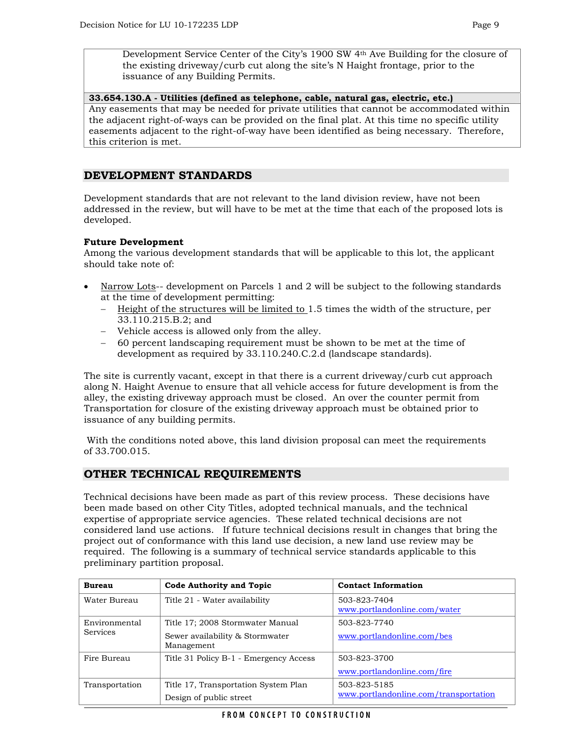Development Service Center of the City's 1900 SW 4th Ave Building for the closure of the existing driveway/curb cut along the site's N Haight frontage, prior to the issuance of any Building Permits.

**33.654.130.A - Utilities (defined as telephone, cable, natural gas, electric, etc.)** Any easements that may be needed for private utilities that cannot be accommodated within the adjacent right-of-ways can be provided on the final plat. At this time no specific utility easements adjacent to the right-of-way have been identified as being necessary. Therefore, this criterion is met.

## **DEVELOPMENT STANDARDS**

Development standards that are not relevant to the land division review, have not been addressed in the review, but will have to be met at the time that each of the proposed lots is developed.

## **Future Development**

Among the various development standards that will be applicable to this lot, the applicant should take note of:

- Narrow Lots-- development on Parcels 1 and 2 will be subject to the following standards at the time of development permitting:
	- − Height of the structures will be limited to 1.5 times the width of the structure, per 33.110.215.B.2; and
	- − Vehicle access is allowed only from the alley.
	- − 60 percent landscaping requirement must be shown to be met at the time of development as required by 33.110.240.C.2.d (landscape standards).

The site is currently vacant, except in that there is a current driveway/curb cut approach along N. Haight Avenue to ensure that all vehicle access for future development is from the alley, the existing driveway approach must be closed. An over the counter permit from Transportation for closure of the existing driveway approach must be obtained prior to issuance of any building permits.

 With the conditions noted above, this land division proposal can meet the requirements of 33.700.015.

## **OTHER TECHNICAL REQUIREMENTS**

Technical decisions have been made as part of this review process. These decisions have been made based on other City Titles, adopted technical manuals, and the technical expertise of appropriate service agencies. These related technical decisions are not considered land use actions. If future technical decisions result in changes that bring the project out of conformance with this land use decision, a new land use review may be required. The following is a summary of technical service standards applicable to this preliminary partition proposal.

| <b>Bureau</b>                    | Code Authority and Topic                                                          | <b>Contact Information</b>                            |
|----------------------------------|-----------------------------------------------------------------------------------|-------------------------------------------------------|
| Water Bureau                     | Title 21 - Water availability                                                     | 503-823-7404<br>www.portlandonline.com/water          |
| Environmental<br><b>Services</b> | Title 17; 2008 Stormwater Manual<br>Sewer availability & Stormwater<br>Management | 503-823-7740<br>www.portlandonline.com/bes            |
| Fire Bureau                      | Title 31 Policy B-1 - Emergency Access                                            | 503-823-3700<br>www.portlandonline.com/fire           |
| Transportation                   | Title 17, Transportation System Plan<br>Design of public street                   | 503-823-5185<br>www.portlandonline.com/transportation |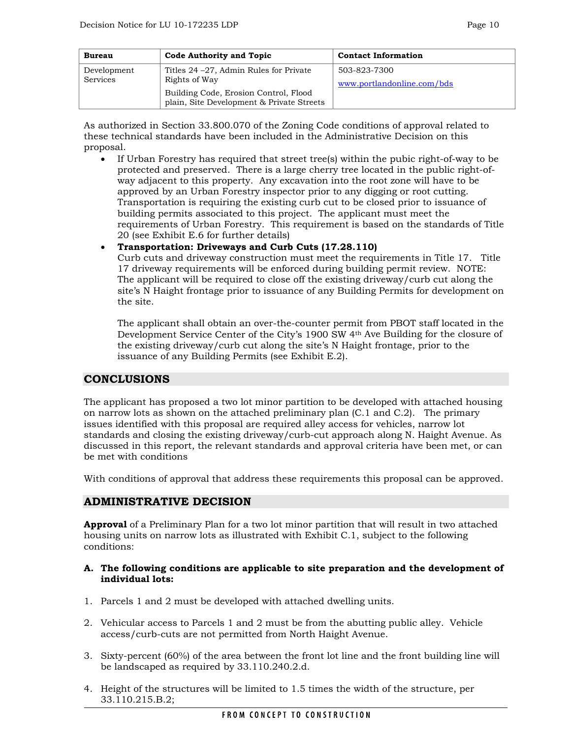| <b>Bureau</b>           | <b>Code Authority and Topic</b>                                                                                                                | <b>Contact Information</b>                 |
|-------------------------|------------------------------------------------------------------------------------------------------------------------------------------------|--------------------------------------------|
| Development<br>Services | Titles 24 – 27, Admin Rules for Private<br>Rights of Way<br>Building Code, Erosion Control, Flood<br>plain, Site Development & Private Streets | 503-823-7300<br>www.portlandonline.com/bds |

As authorized in Section 33.800.070 of the Zoning Code conditions of approval related to these technical standards have been included in the Administrative Decision on this proposal.

• If Urban Forestry has required that street tree(s) within the pubic right-of-way to be protected and preserved. There is a large cherry tree located in the public right-ofway adjacent to this property. Any excavation into the root zone will have to be approved by an Urban Forestry inspector prior to any digging or root cutting. Transportation is requiring the existing curb cut to be closed prior to issuance of building permits associated to this project. The applicant must meet the requirements of Urban Forestry. This requirement is based on the standards of Title 20 (see Exhibit E.6 for further details)

• **Transportation: Driveways and Curb Cuts (17.28.110)**  Curb cuts and driveway construction must meet the requirements in Title 17. Title 17 driveway requirements will be enforced during building permit review. NOTE:

The applicant will be required to close off the existing driveway/curb cut along the site's N Haight frontage prior to issuance of any Building Permits for development on the site.

The applicant shall obtain an over-the-counter permit from PBOT staff located in the Development Service Center of the City's 1900 SW 4th Ave Building for the closure of the existing driveway/curb cut along the site's N Haight frontage, prior to the issuance of any Building Permits (see Exhibit E.2).

## **CONCLUSIONS**

The applicant has proposed a two lot minor partition to be developed with attached housing on narrow lots as shown on the attached preliminary plan (C.1 and C.2). The primary issues identified with this proposal are required alley access for vehicles, narrow lot standards and closing the existing driveway/curb-cut approach along N. Haight Avenue. As discussed in this report, the relevant standards and approval criteria have been met, or can be met with conditions

With conditions of approval that address these requirements this proposal can be approved.

## **ADMINISTRATIVE DECISION**

**Approval** of a Preliminary Plan for a two lot minor partition that will result in two attached housing units on narrow lots as illustrated with Exhibit C.1, subject to the following conditions:

#### **A. The following conditions are applicable to site preparation and the development of individual lots:**

- 1. Parcels 1 and 2 must be developed with attached dwelling units.
- 2. Vehicular access to Parcels 1 and 2 must be from the abutting public alley. Vehicle access/curb-cuts are not permitted from North Haight Avenue.
- 3. Sixty-percent (60%) of the area between the front lot line and the front building line will be landscaped as required by 33.110.240.2.d.
- 4. Height of the structures will be limited to 1.5 times the width of the structure, per 33.110.215.B.2;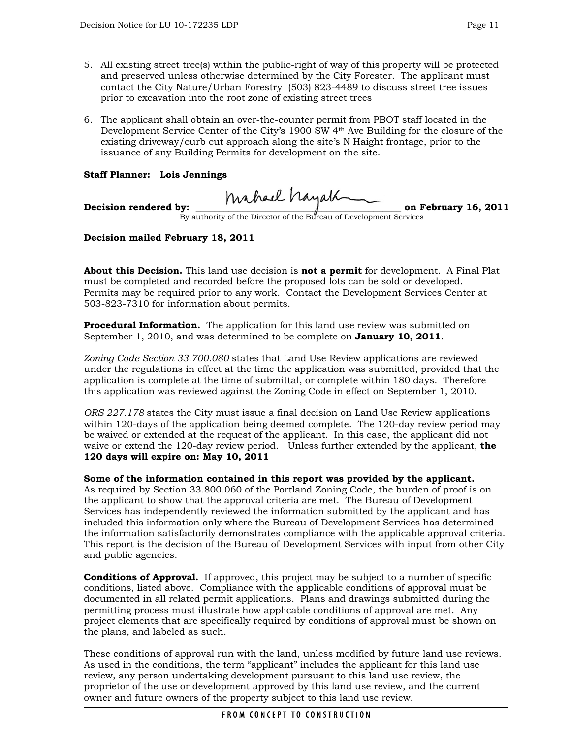- 5. All existing street tree(s) within the public-right of way of this property will be protected and preserved unless otherwise determined by the City Forester. The applicant must contact the City Nature/Urban Forestry (503) 823-4489 to discuss street tree issues prior to excavation into the root zone of existing street trees
- 6. The applicant shall obtain an over-the-counter permit from PBOT staff located in the Development Service Center of the City's 1900 SW 4th Ave Building for the closure of the existing driveway/curb cut approach along the site's N Haight frontage, prior to the issuance of any Building Permits for development on the site.

## **Staff Planner: Lois Jennings**

**Decision rendered by: \_\_\_\_\_\_\_\_\_\_\_\_\_\_\_\_\_\_\_\_\_\_\_\_\_\_\_\_\_\_\_\_\_\_\_\_\_\_\_\_\_\_\_\_ on February 16, 2011** 

By authority of the Director of the Bureau of Development Services

## **Decision mailed February 18, 2011**

**About this Decision.** This land use decision is **not a permit** for development. A Final Plat must be completed and recorded before the proposed lots can be sold or developed. Permits may be required prior to any work. Contact the Development Services Center at 503-823-7310 for information about permits.

**Procedural Information.** The application for this land use review was submitted on September 1, 2010, and was determined to be complete on **January 10, 2011**.

*Zoning Code Section 33.700.080* states that Land Use Review applications are reviewed under the regulations in effect at the time the application was submitted, provided that the application is complete at the time of submittal, or complete within 180 days. Therefore this application was reviewed against the Zoning Code in effect on September 1, 2010.

*ORS 227.178* states the City must issue a final decision on Land Use Review applications within 120-days of the application being deemed complete. The 120-day review period may be waived or extended at the request of the applicant. In this case, the applicant did not waive or extend the 120-day review period. Unless further extended by the applicant, **the 120 days will expire on: May 10, 2011**

**Some of the information contained in this report was provided by the applicant.**  As required by Section 33.800.060 of the Portland Zoning Code, the burden of proof is on the applicant to show that the approval criteria are met. The Bureau of Development Services has independently reviewed the information submitted by the applicant and has included this information only where the Bureau of Development Services has determined the information satisfactorily demonstrates compliance with the applicable approval criteria. This report is the decision of the Bureau of Development Services with input from other City and public agencies.

**Conditions of Approval.** If approved, this project may be subject to a number of specific conditions, listed above. Compliance with the applicable conditions of approval must be documented in all related permit applications. Plans and drawings submitted during the permitting process must illustrate how applicable conditions of approval are met. Any project elements that are specifically required by conditions of approval must be shown on the plans, and labeled as such.

These conditions of approval run with the land, unless modified by future land use reviews. As used in the conditions, the term "applicant" includes the applicant for this land use review, any person undertaking development pursuant to this land use review, the proprietor of the use or development approved by this land use review, and the current owner and future owners of the property subject to this land use review.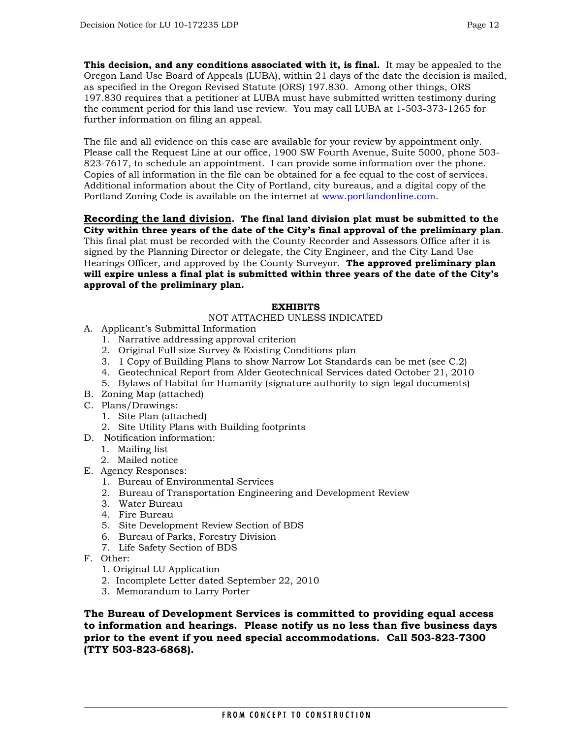**This decision, and any conditions associated with it, is final.** It may be appealed to the Oregon Land Use Board of Appeals (LUBA), within 21 days of the date the decision is mailed, as specified in the Oregon Revised Statute (ORS) 197.830. Among other things, ORS 197.830 requires that a petitioner at LUBA must have submitted written testimony during the comment period for this land use review. You may call LUBA at 1-503-373-1265 for further information on filing an appeal.

The file and all evidence on this case are available for your review by appointment only. Please call the Request Line at our office, 1900 SW Fourth Avenue, Suite 5000, phone 503- 823-7617, to schedule an appointment. I can provide some information over the phone. Copies of all information in the file can be obtained for a fee equal to the cost of services. Additional information about the City of Portland, city bureaus, and a digital copy of the Portland Zoning Code is available on the internet at [www.portlandonline.com](http://www.portlandonline.com/).

## **Recording the land division. The final land division plat must be submitted to the City within three years of the date of the City's final approval of the preliminary plan**.

This final plat must be recorded with the County Recorder and Assessors Office after it is signed by the Planning Director or delegate, the City Engineer, and the City Land Use Hearings Officer, and approved by the County Surveyor. **The approved preliminary plan will expire unless a final plat is submitted within three years of the date of the City's approval of the preliminary plan.** 

## **EXHIBITS**

#### NOT ATTACHED UNLESS INDICATED

- A. Applicant's Submittal Information
	- 1. Narrative addressing approval criterion
	- 2. Original Full size Survey & Existing Conditions plan
	- 3. 1 Copy of Building Plans to show Narrow Lot Standards can be met (see C.2)
	- 4. Geotechnical Report from Alder Geotechnical Services dated October 21, 2010
	- 5. Bylaws of Habitat for Humanity (signature authority to sign legal documents)
- B. Zoning Map (attached)
- C. Plans/Drawings:
	- 1. Site Plan (attached)
	- 2. Site Utility Plans with Building footprints
- D. Notification information:
	- 1. Mailing list
	- 2. Mailed notice
- E. Agency Responses:
	- 1. Bureau of Environmental Services
	- 2. Bureau of Transportation Engineering and Development Review
	- 3. Water Bureau
	- 4. Fire Bureau
	- 5. Site Development Review Section of BDS
	- 6. Bureau of Parks, Forestry Division
	- 7. Life Safety Section of BDS
- F. Other:
	- 1. Original LU Application
	- 2. Incomplete Letter dated September 22, 2010
	- 3. Memorandum to Larry Porter

**The Bureau of Development Services is committed to providing equal access to information and hearings. Please notify us no less than five business days prior to the event if you need special accommodations. Call 503-823-7300 (TTY 503-823-6868).**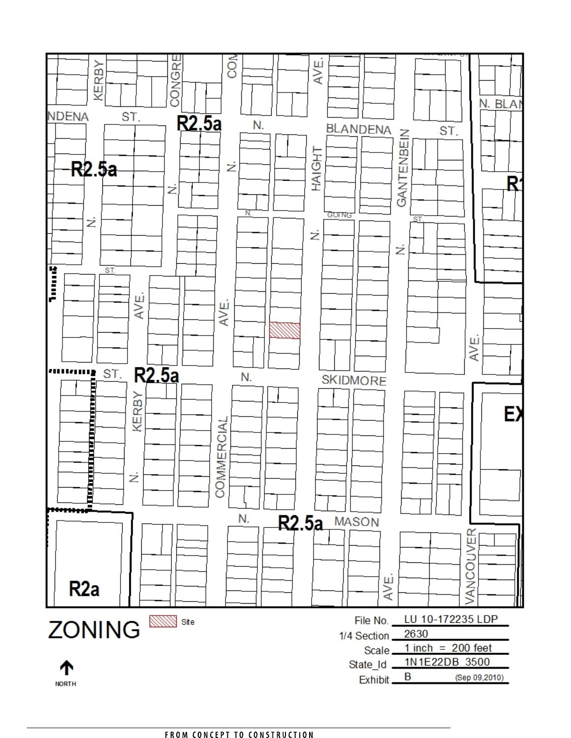